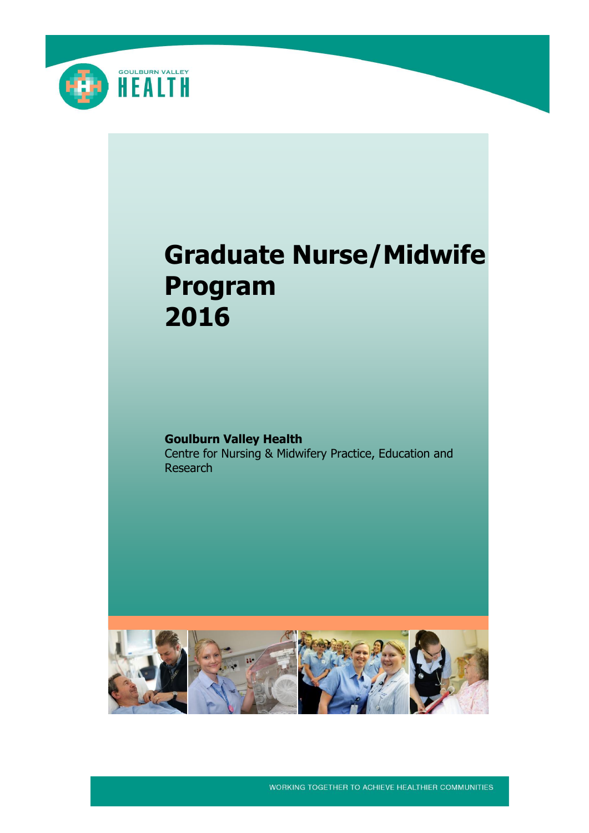

# **Graduate Nurse/Midwife Program 2016**

**Goulburn Valley Health** Centre for Nursing & Midwifery Practice, Education and Research



WORKING TOGETHER TO ACHIEVE HEALTHIER COMMUNITIES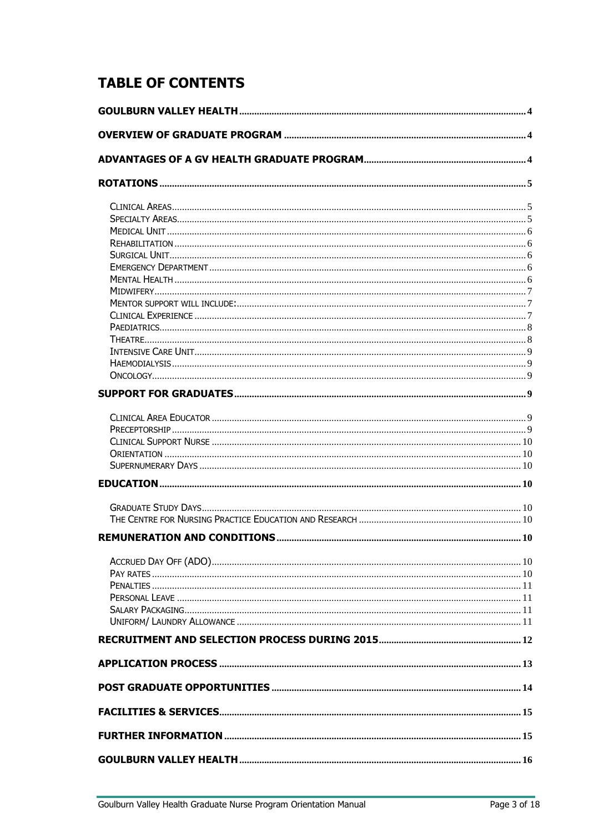# **TABLE OF CONTENTS**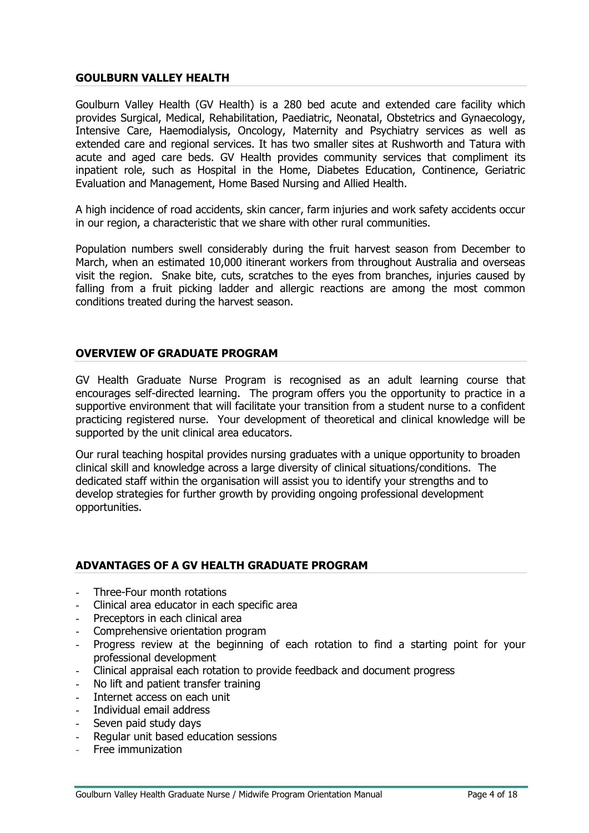### <span id="page-3-0"></span>**GOULBURN VALLEY HEALTH**

Goulburn Valley Health (GV Health) is a 280 bed acute and extended care facility which provides Surgical, Medical, Rehabilitation, Paediatric, Neonatal, Obstetrics and Gynaecology, Intensive Care, Haemodialysis, Oncology, Maternity and Psychiatry services as well as extended care and regional services. It has two smaller sites at Rushworth and Tatura with acute and aged care beds. GV Health provides community services that compliment its inpatient role, such as Hospital in the Home, Diabetes Education, Continence, Geriatric Evaluation and Management, Home Based Nursing and Allied Health.

A high incidence of road accidents, skin cancer, farm injuries and work safety accidents occur in our region, a characteristic that we share with other rural communities.

Population numbers swell considerably during the fruit harvest season from December to March, when an estimated 10,000 itinerant workers from throughout Australia and overseas visit the region. Snake bite, cuts, scratches to the eyes from branches, injuries caused by falling from a fruit picking ladder and allergic reactions are among the most common conditions treated during the harvest season.

# <span id="page-3-1"></span>**OVERVIEW OF GRADUATE PROGRAM**

GV Health Graduate Nurse Program is recognised as an adult learning course that encourages self-directed learning. The program offers you the opportunity to practice in a supportive environment that will facilitate your transition from a student nurse to a confident practicing registered nurse. Your development of theoretical and clinical knowledge will be supported by the unit clinical area educators.

Our rural teaching hospital provides nursing graduates with a unique opportunity to broaden clinical skill and knowledge across a large diversity of clinical situations/conditions. The dedicated staff within the organisation will assist you to identify your strengths and to develop strategies for further growth by providing ongoing professional development opportunities.

#### <span id="page-3-2"></span>**ADVANTAGES OF A GV HEALTH GRADUATE PROGRAM**

- Three-Four month rotations
- Clinical area educator in each specific area
- Preceptors in each clinical area
- Comprehensive orientation program
- Progress review at the beginning of each rotation to find a starting point for your professional development
- Clinical appraisal each rotation to provide feedback and document progress
- No lift and patient transfer training
- Internet access on each unit
- Individual email address
- Seven paid study days
- Regular unit based education sessions
- Free immunization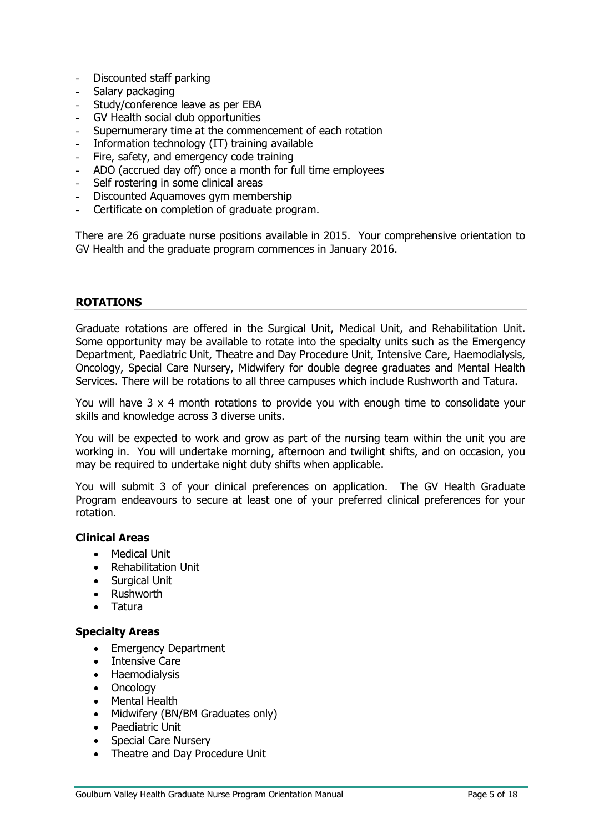- Discounted staff parking
- Salary packaging
- Study/conference leave as per EBA
- GV Health social club opportunities
- Supernumerary time at the commencement of each rotation
- Information technology (IT) training available
- Fire, safety, and emergency code training
- ADO (accrued day off) once a month for full time employees
- Self rostering in some clinical areas
- Discounted Aquamoves gym membership
- Certificate on completion of graduate program.

There are 26 graduate nurse positions available in 2015. Your comprehensive orientation to GV Health and the graduate program commences in January 2016.

#### <span id="page-4-0"></span>**ROTATIONS**

Graduate rotations are offered in the Surgical Unit, Medical Unit, and Rehabilitation Unit. Some opportunity may be available to rotate into the specialty units such as the Emergency Department, Paediatric Unit, Theatre and Day Procedure Unit, Intensive Care, Haemodialysis, Oncology, Special Care Nursery, Midwifery for double degree graduates and Mental Health Services. There will be rotations to all three campuses which include Rushworth and Tatura.

You will have 3 x 4 month rotations to provide you with enough time to consolidate your skills and knowledge across 3 diverse units.

You will be expected to work and grow as part of the nursing team within the unit you are working in. You will undertake morning, afternoon and twilight shifts, and on occasion, you may be required to undertake night duty shifts when applicable.

You will submit 3 of your clinical preferences on application. The GV Health Graduate Program endeavours to secure at least one of your preferred clinical preferences for your rotation.

# <span id="page-4-1"></span>**Clinical Areas**

- Medical Unit
- Rehabilitation Unit
- Surgical Unit
- Rushworth
- Tatura

#### <span id="page-4-2"></span>**Specialty Areas**

- Emergency Department
- Intensive Care
- Haemodialysis
- Oncology
- Mental Health
- Midwifery (BN/BM Graduates only)
- Paediatric Unit
- Special Care Nursery
- Theatre and Day Procedure Unit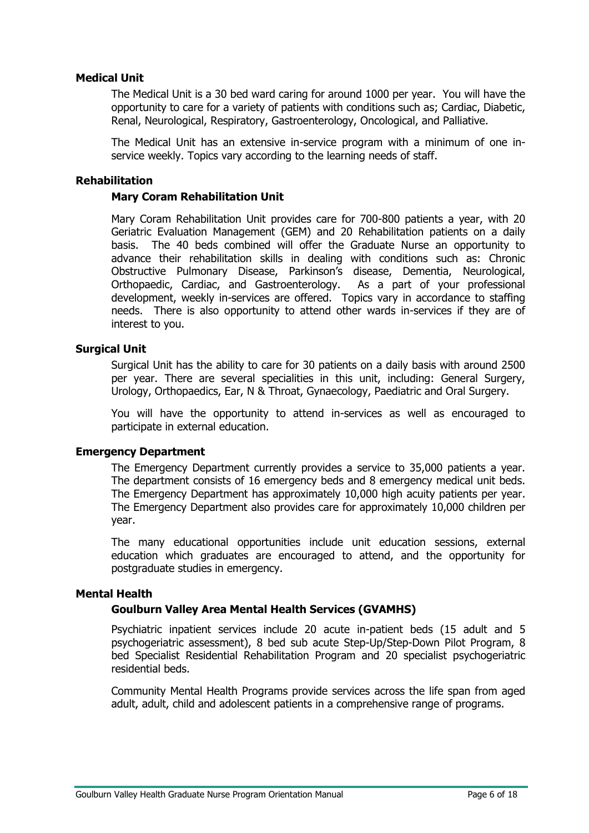# <span id="page-5-0"></span>**Medical Unit**

The Medical Unit is a 30 bed ward caring for around 1000 per year. You will have the opportunity to care for a variety of patients with conditions such as; Cardiac, Diabetic, Renal, Neurological, Respiratory, Gastroenterology, Oncological, and Palliative.

The Medical Unit has an extensive in-service program with a minimum of one inservice weekly. Topics vary according to the learning needs of staff.

#### <span id="page-5-1"></span>**Rehabilitation**

#### **Mary Coram Rehabilitation Unit**

Mary Coram Rehabilitation Unit provides care for 700-800 patients a year, with 20 Geriatric Evaluation Management (GEM) and 20 Rehabilitation patients on a daily basis. The 40 beds combined will offer the Graduate Nurse an opportunity to advance their rehabilitation skills in dealing with conditions such as: Chronic Obstructive Pulmonary Disease, Parkinson's disease, Dementia, Neurological, Orthopaedic, Cardiac, and Gastroenterology. As a part of your professional development, weekly in-services are offered. Topics vary in accordance to staffing needs. There is also opportunity to attend other wards in-services if they are of interest to you.

#### <span id="page-5-2"></span>**Surgical Unit**

Surgical Unit has the ability to care for 30 patients on a daily basis with around 2500 per year. There are several specialities in this unit, including: General Surgery, Urology, Orthopaedics, Ear, N & Throat, Gynaecology, Paediatric and Oral Surgery.

You will have the opportunity to attend in-services as well as encouraged to participate in external education.

#### <span id="page-5-3"></span>**Emergency Department**

The Emergency Department currently provides a service to 35,000 patients a year. The department consists of 16 emergency beds and 8 emergency medical unit beds. The Emergency Department has approximately 10,000 high acuity patients per year. The Emergency Department also provides care for approximately 10,000 children per year.

The many educational opportunities include unit education sessions, external education which graduates are encouraged to attend, and the opportunity for postgraduate studies in emergency.

#### <span id="page-5-4"></span>**Mental Health**

#### **Goulburn Valley Area Mental Health Services (GVAMHS)**

Psychiatric inpatient services include 20 acute in-patient beds (15 adult and 5 psychogeriatric assessment), 8 bed sub acute Step-Up/Step-Down Pilot Program, 8 bed Specialist Residential Rehabilitation Program and 20 specialist psychogeriatric residential beds.

Community Mental Health Programs provide services across the life span from aged adult, adult, child and adolescent patients in a comprehensive range of programs.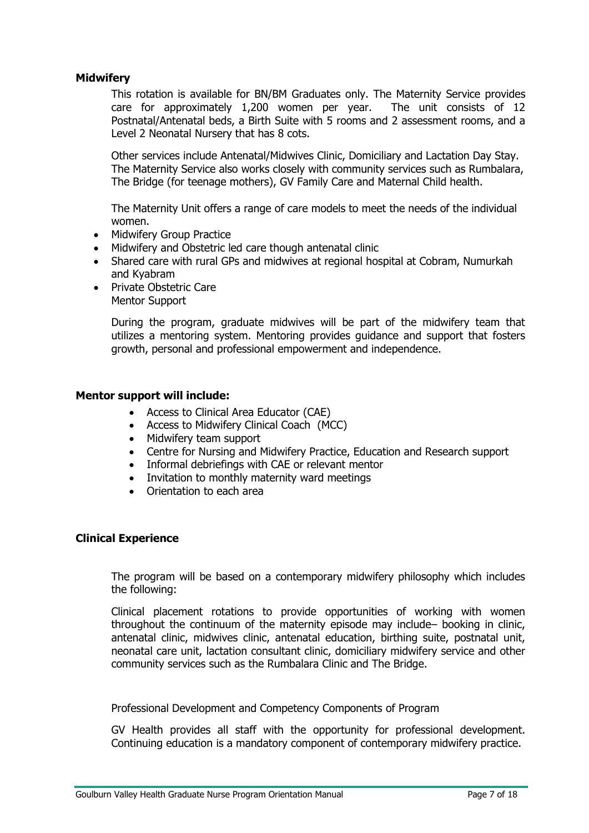# <span id="page-6-0"></span>**Midwifery**

This rotation is available for BN/BM Graduates only. The Maternity Service provides care for approximately 1,200 women per year. The unit consists of 12 Postnatal/Antenatal beds, a Birth Suite with 5 rooms and 2 assessment rooms, and a Level 2 Neonatal Nursery that has 8 cots.

Other services include Antenatal/Midwives Clinic, Domiciliary and Lactation Day Stay. The Maternity Service also works closely with community services such as Rumbalara, The Bridge (for teenage mothers), GV Family Care and Maternal Child health.

The Maternity Unit offers a range of care models to meet the needs of the individual women.

- Midwifery Group Practice
- Midwifery and Obstetric led care though antenatal clinic
- Shared care with rural GPs and midwives at regional hospital at Cobram, Numurkah and Kyabram
- Private Obstetric Care Mentor Support

During the program, graduate midwives will be part of the midwifery team that utilizes a mentoring system. Mentoring provides guidance and support that fosters growth, personal and professional empowerment and independence.

#### <span id="page-6-1"></span>**Mentor support will include:**

- Access to Clinical Area Educator (CAE)
- Access to Midwifery Clinical Coach (MCC)
- Midwifery team support
- Centre for Nursing and Midwifery Practice, Education and Research support
- Informal debriefings with CAE or relevant mentor
- Invitation to monthly maternity ward meetings
- Orientation to each area

#### <span id="page-6-2"></span>**Clinical Experience**

The program will be based on a contemporary midwifery philosophy which includes the following:

Clinical placement rotations to provide opportunities of working with women throughout the continuum of the maternity episode may include– booking in clinic, antenatal clinic, midwives clinic, antenatal education, birthing suite, postnatal unit, neonatal care unit, lactation consultant clinic, domiciliary midwifery service and other community services such as the Rumbalara Clinic and The Bridge.

Professional Development and Competency Components of Program

GV Health provides all staff with the opportunity for professional development. Continuing education is a mandatory component of contemporary midwifery practice.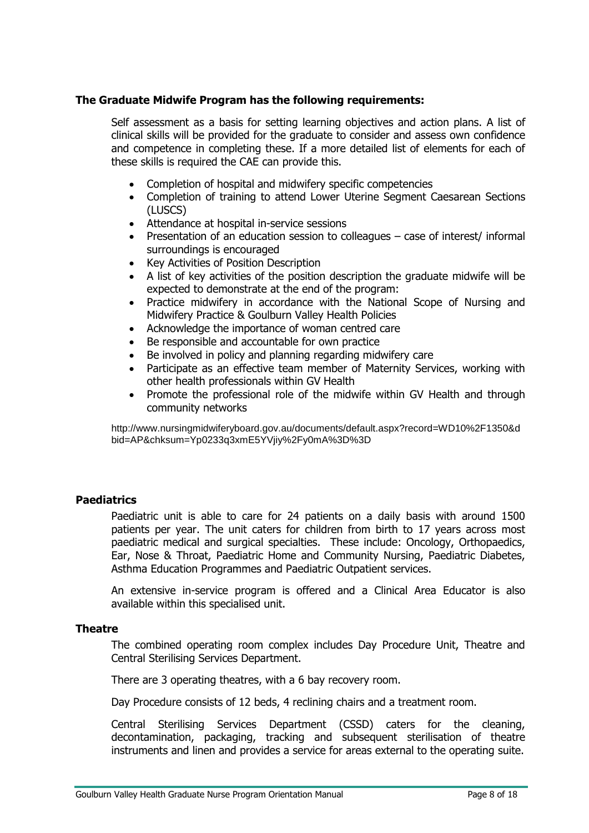# **The Graduate Midwife Program has the following requirements:**

Self assessment as a basis for setting learning objectives and action plans. A list of clinical skills will be provided for the graduate to consider and assess own confidence and competence in completing these. If a more detailed list of elements for each of these skills is required the CAE can provide this.

- Completion of hospital and midwifery specific competencies
- Completion of training to attend Lower Uterine Segment Caesarean Sections (LUSCS)
- Attendance at hospital in-service sessions
- Presentation of an education session to colleagues case of interest/ informal surroundings is encouraged
- Key Activities of Position Description
- A list of key activities of the position description the graduate midwife will be expected to demonstrate at the end of the program:
- Practice midwifery in accordance with the National Scope of Nursing and Midwifery Practice & Goulburn Valley Health Policies
- Acknowledge the importance of woman centred care
- Be responsible and accountable for own practice
- Be involved in policy and planning regarding midwifery care
- Participate as an effective team member of Maternity Services, working with other health professionals within GV Health
- Promote the professional role of the midwife within GV Health and through community networks

[http://www.nursingmidwiferyboard.gov.au/documents/default.aspx?record=WD10%2F1350&d](http://www.nursingmidwiferyboard.gov.au/documents/default.aspx?record=WD10%2F1350&dbid=AP&chksum=Yp0233q3xmE5YVjiy%2Fy0mA%3D%3D) [bid=AP&chksum=Yp0233q3xmE5YVjiy%2Fy0mA%3D%3D](http://www.nursingmidwiferyboard.gov.au/documents/default.aspx?record=WD10%2F1350&dbid=AP&chksum=Yp0233q3xmE5YVjiy%2Fy0mA%3D%3D)

#### <span id="page-7-0"></span>**Paediatrics**

Paediatric unit is able to care for 24 patients on a daily basis with around 1500 patients per year. The unit caters for children from birth to 17 years across most paediatric medical and surgical specialties. These include: Oncology, Orthopaedics, Ear, Nose & Throat, Paediatric Home and Community Nursing, Paediatric Diabetes, Asthma Education Programmes and Paediatric Outpatient services.

An extensive in-service program is offered and a Clinical Area Educator is also available within this specialised unit.

#### <span id="page-7-1"></span>**Theatre**

The combined operating room complex includes Day Procedure Unit, Theatre and Central Sterilising Services Department.

There are 3 operating theatres, with a 6 bay recovery room.

Day Procedure consists of 12 beds, 4 reclining chairs and a treatment room.

Central Sterilising Services Department (CSSD) caters for the cleaning, decontamination, packaging, tracking and subsequent sterilisation of theatre instruments and linen and provides a service for areas external to the operating suite.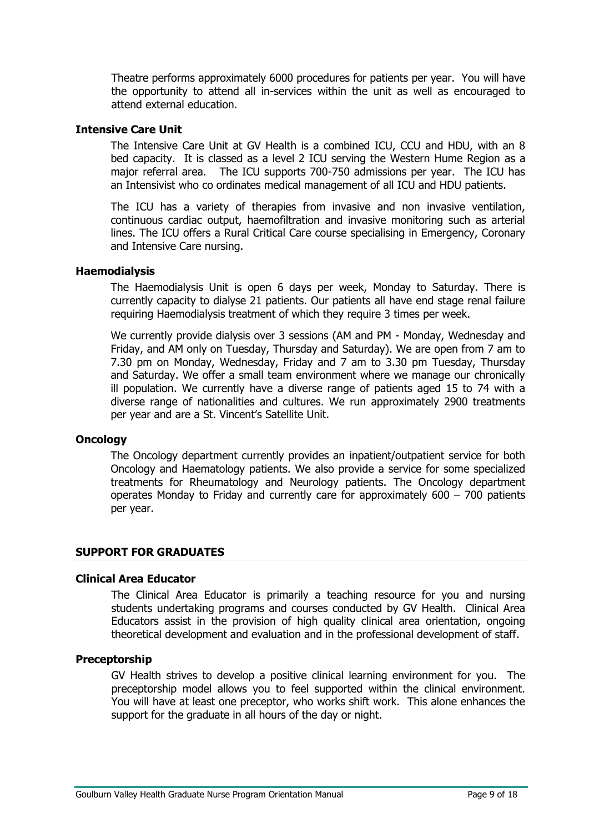Theatre performs approximately 6000 procedures for patients per year. You will have the opportunity to attend all in-services within the unit as well as encouraged to attend external education.

#### <span id="page-8-0"></span>**Intensive Care Unit**

The Intensive Care Unit at GV Health is a combined ICU, CCU and HDU, with an 8 bed capacity. It is classed as a level 2 ICU serving the Western Hume Region as a major referral area. The ICU supports 700-750 admissions per year. The ICU has an Intensivist who co ordinates medical management of all ICU and HDU patients.

The ICU has a variety of therapies from invasive and non invasive ventilation, continuous cardiac output, haemofiltration and invasive monitoring such as arterial lines. The ICU offers a Rural Critical Care course specialising in Emergency, Coronary and Intensive Care nursing.

#### <span id="page-8-1"></span>**Haemodialysis**

The Haemodialysis Unit is open 6 days per week, Monday to Saturday. There is currently capacity to dialyse 21 patients. Our patients all have end stage renal failure requiring Haemodialysis treatment of which they require 3 times per week.

We currently provide dialysis over 3 sessions (AM and PM - Monday, Wednesday and Friday, and AM only on Tuesday, Thursday and Saturday). We are open from 7 am to 7.30 pm on Monday, Wednesday, Friday and 7 am to 3.30 pm Tuesday, Thursday and Saturday. We offer a small team environment where we manage our chronically ill population. We currently have a diverse range of patients aged 15 to 74 with a diverse range of nationalities and cultures. We run approximately 2900 treatments per year and are a St. Vincent's Satellite Unit.

#### <span id="page-8-2"></span>**Oncology**

The Oncology department currently provides an inpatient/outpatient service for both Oncology and Haematology patients. We also provide a service for some specialized treatments for Rheumatology and Neurology patients. The Oncology department operates Monday to Friday and currently care for approximately 600 – 700 patients per year.

#### <span id="page-8-3"></span>**SUPPORT FOR GRADUATES**

# <span id="page-8-4"></span>**Clinical Area Educator**

The Clinical Area Educator is primarily a teaching resource for you and nursing students undertaking programs and courses conducted by GV Health. Clinical Area Educators assist in the provision of high quality clinical area orientation, ongoing theoretical development and evaluation and in the professional development of staff.

#### <span id="page-8-5"></span>**Preceptorship**

GV Health strives to develop a positive clinical learning environment for you. The preceptorship model allows you to feel supported within the clinical environment. You will have at least one preceptor, who works shift work. This alone enhances the support for the graduate in all hours of the day or night.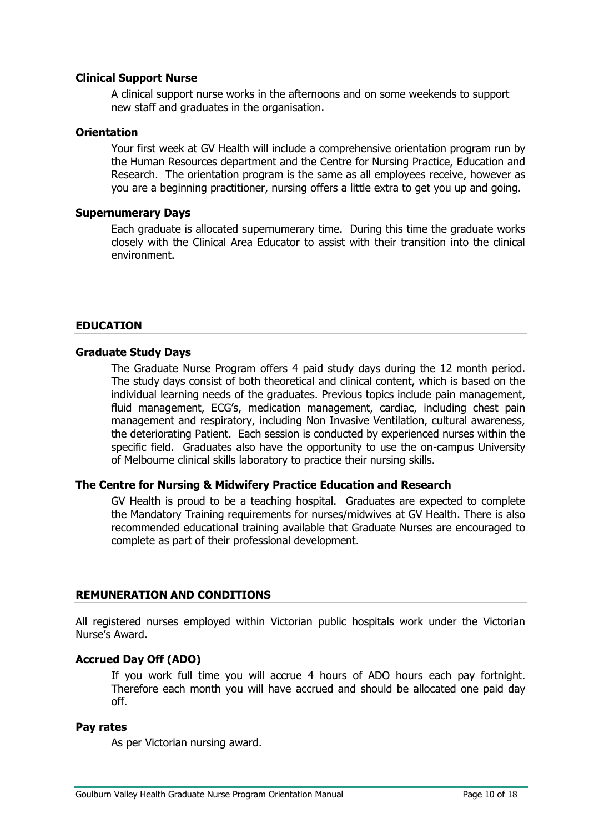### <span id="page-9-0"></span>**Clinical Support Nurse**

A clinical support nurse works in the afternoons and on some weekends to support new staff and graduates in the organisation.

#### <span id="page-9-1"></span>**Orientation**

Your first week at GV Health will include a comprehensive orientation program run by the Human Resources department and the Centre for Nursing Practice, Education and Research. The orientation program is the same as all employees receive, however as you are a beginning practitioner, nursing offers a little extra to get you up and going.

### <span id="page-9-2"></span>**Supernumerary Days**

Each graduate is allocated supernumerary time. During this time the graduate works closely with the Clinical Area Educator to assist with their transition into the clinical environment.

# <span id="page-9-3"></span>**EDUCATION**

#### <span id="page-9-4"></span>**Graduate Study Days**

The Graduate Nurse Program offers 4 paid study days during the 12 month period. The study days consist of both theoretical and clinical content, which is based on the individual learning needs of the graduates. Previous topics include pain management, fluid management, ECG's, medication management, cardiac, including chest pain management and respiratory, including Non Invasive Ventilation, cultural awareness, the deteriorating Patient. Each session is conducted by experienced nurses within the specific field. Graduates also have the opportunity to use the on-campus University of Melbourne clinical skills laboratory to practice their nursing skills.

#### <span id="page-9-5"></span>**The Centre for Nursing & Midwifery Practice Education and Research**

GV Health is proud to be a teaching hospital. Graduates are expected to complete the Mandatory Training requirements for nurses/midwives at GV Health. There is also recommended educational training available that Graduate Nurses are encouraged to complete as part of their professional development.

#### <span id="page-9-6"></span>**REMUNERATION AND CONDITIONS**

All registered nurses employed within Victorian public hospitals work under the Victorian Nurse's Award.

#### <span id="page-9-7"></span>**Accrued Day Off (ADO)**

If you work full time you will accrue 4 hours of ADO hours each pay fortnight. Therefore each month you will have accrued and should be allocated one paid day off.

#### <span id="page-9-8"></span>**Pay rates**

As per Victorian nursing award.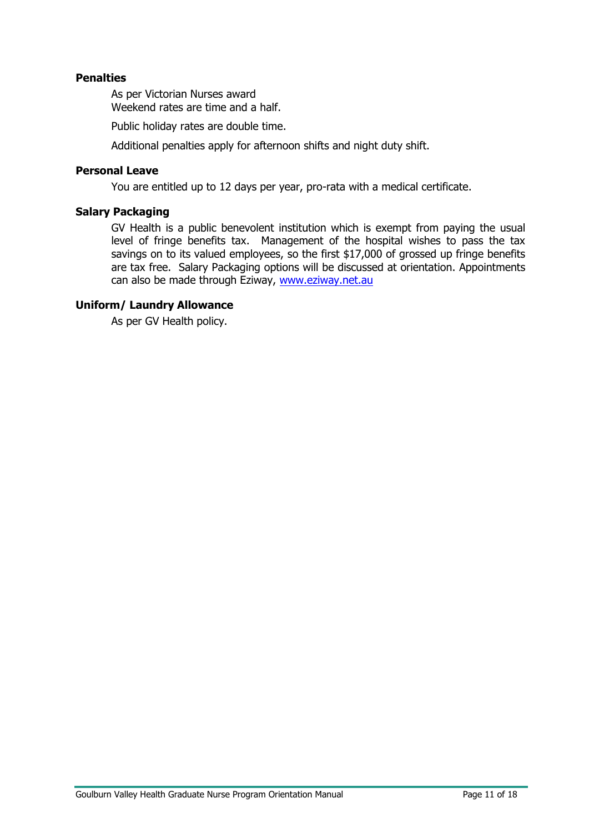# <span id="page-10-0"></span>**Penalties**

As per Victorian Nurses award Weekend rates are time and a half.

Public holiday rates are double time.

Additional penalties apply for afternoon shifts and night duty shift.

### <span id="page-10-1"></span>**Personal Leave**

You are entitled up to 12 days per year, pro-rata with a medical certificate.

# <span id="page-10-2"></span>**Salary Packaging**

GV Health is a public benevolent institution which is exempt from paying the usual level of fringe benefits tax. Management of the hospital wishes to pass the tax savings on to its valued employees, so the first \$17,000 of grossed up fringe benefits are tax free. Salary Packaging options will be discussed at orientation. Appointments can also be made through Eziway, [www.eziway.net.au](http://www.eziway.net.au/)

#### <span id="page-10-3"></span>**Uniform/ Laundry Allowance**

As per GV Health policy.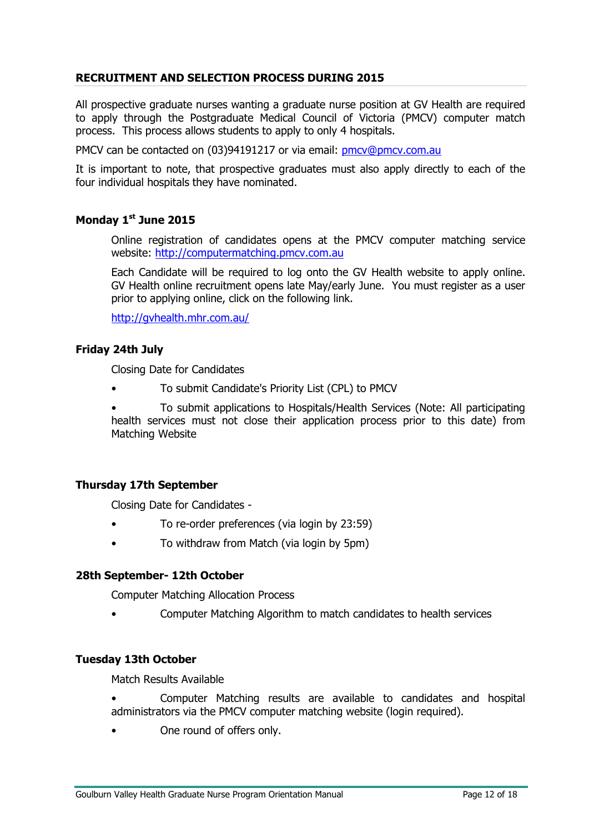# <span id="page-11-0"></span>**RECRUITMENT AND SELECTION PROCESS DURING 2015**

All prospective graduate nurses wanting a graduate nurse position at GV Health are required to apply through the Postgraduate Medical Council of Victoria (PMCV) computer match process. This process allows students to apply to only 4 hospitals.

PMCV can be contacted on (03)94191217 or via email: [pmcv@pmcv.com.au](mailto:pmcv@pmcv.com.au)

It is important to note, that prospective graduates must also apply directly to each of the four individual hospitals they have nominated.

### **Monday 1 st June 2015**

Online registration of candidates opens at the PMCV computer matching service website: [http://computermatching.pmcv.com.au](http://computermatching.pmcv.com.au/)

Each Candidate will be required to log onto the GV Health website to apply online. GV Health online recruitment opens late May/early June. You must register as a user prior to applying online, click on the following link.

<http://gvhealth.mhr.com.au/>

# **Friday 24th July**

Closing Date for Candidates

• To submit Candidate's Priority List (CPL) to PMCV

• To submit applications to Hospitals/Health Services (Note: All participating health services must not close their application process prior to this date) from Matching Website

#### **Thursday 17th September**

Closing Date for Candidates -

- To re-order preferences (via login by 23:59)
- To withdraw from Match (via login by 5pm)

#### **28th September- 12th October**

Computer Matching Allocation Process

• Computer Matching Algorithm to match candidates to health services

#### **Tuesday 13th October**

Match Results Available

- Computer Matching results are available to candidates and hospital administrators via the PMCV computer matching website (login required).
- One round of offers only.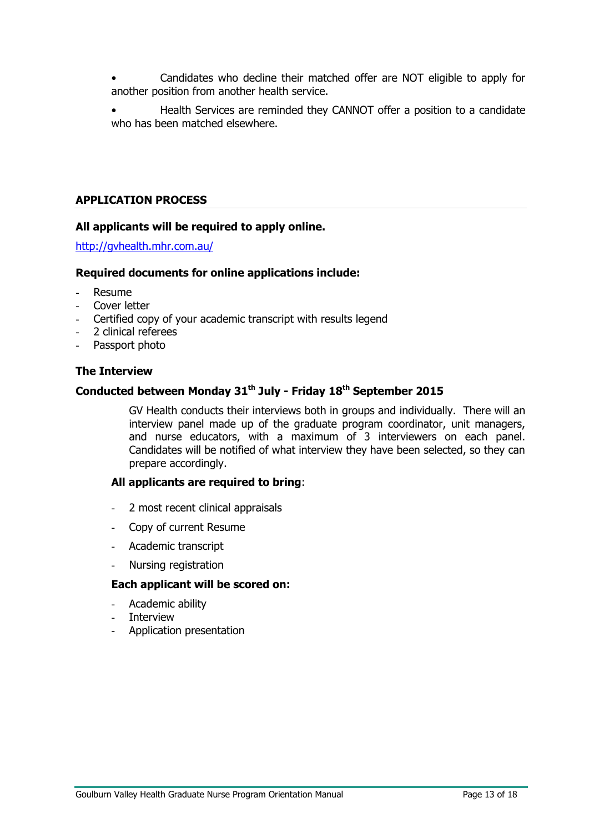• Candidates who decline their matched offer are NOT eligible to apply for another position from another health service.

• Health Services are reminded they CANNOT offer a position to a candidate who has been matched elsewhere.

# <span id="page-12-0"></span>**APPLICATION PROCESS**

# **All applicants will be required to apply online.**

<http://gvhealth.mhr.com.au/>

#### **Required documents for online applications include:**

- Resume
- Cover letter
- Certified copy of your academic transcript with results legend
- 2 clinical referees
- Passport photo

#### **The Interview**

#### **Conducted between Monday 31th July - Friday 18 th September 2015**

GV Health conducts their interviews both in groups and individually. There will an interview panel made up of the graduate program coordinator, unit managers, and nurse educators, with a maximum of 3 interviewers on each panel. Candidates will be notified of what interview they have been selected, so they can prepare accordingly.

#### **All applicants are required to bring**:

- 2 most recent clinical appraisals
- Copy of current Resume
- Academic transcript
- Nursing registration

# **Each applicant will be scored on:**

- Academic ability
- **Interview**
- Application presentation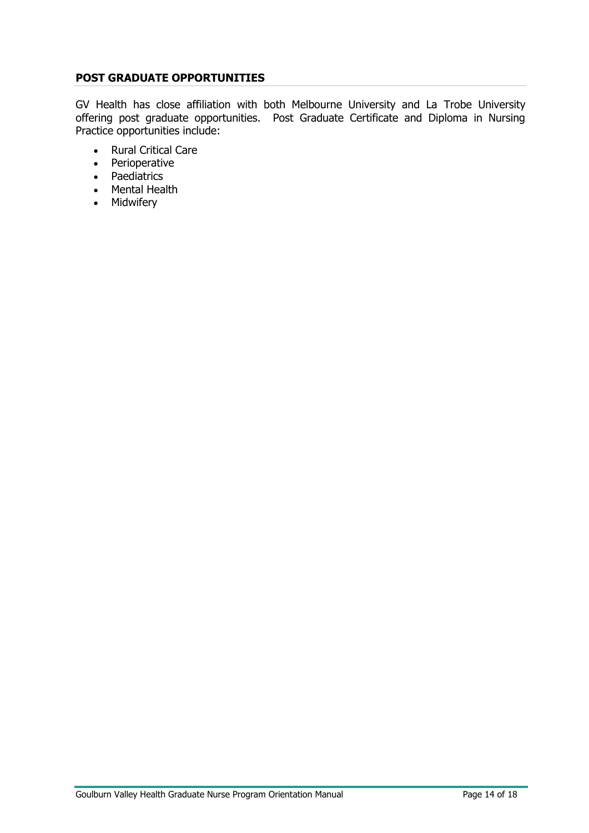# <span id="page-13-0"></span>**POST GRADUATE OPPORTUNITIES**

GV Health has close affiliation with both Melbourne University and La Trobe University offering post graduate opportunities. Post Graduate Certificate and Diploma in Nursing Practice opportunities include:

- Rural Critical Care
- Perioperative
- Paediatrics
- Mental Health
- Midwifery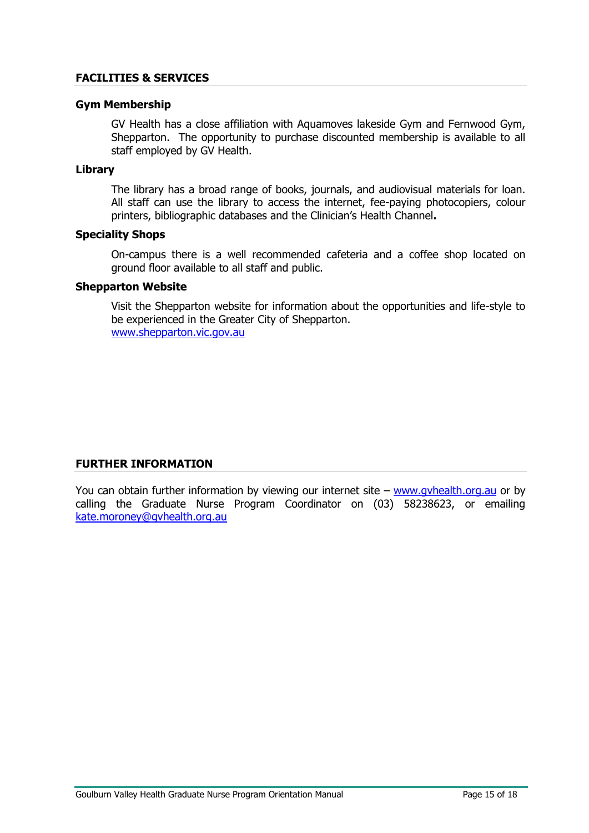#### <span id="page-14-0"></span>**FACILITIES & SERVICES**

#### **Gym Membership**

GV Health has a close affiliation with Aquamoves lakeside Gym and Fernwood Gym, Shepparton. The opportunity to purchase discounted membership is available to all staff employed by GV Health.

#### **Library**

The library has a broad range of books, journals, and audiovisual materials for loan. All staff can use the library to access the internet, fee-paying photocopiers, colour printers, bibliographic databases and the Clinician's Health Channel**.**

#### **Speciality Shops**

On-campus there is a well recommended cafeteria and a coffee shop located on ground floor available to all staff and public.

#### **Shepparton Website**

Visit the Shepparton website for information about the opportunities and life-style to be experienced in the Greater City of Shepparton. [www.shepparton.vic.gov.au](http://www.shepparton.vic.gov.au/)

# <span id="page-14-1"></span>**FURTHER INFORMATION**

You can obtain further information by viewing our internet site – www.gyhealth.org.au or by calling the Graduate Nurse Program Coordinator on (03) 58238623, or emailing [kate.moroney@gvhealth.org.au](mailto:kate.moroney@gvhealth.org.au)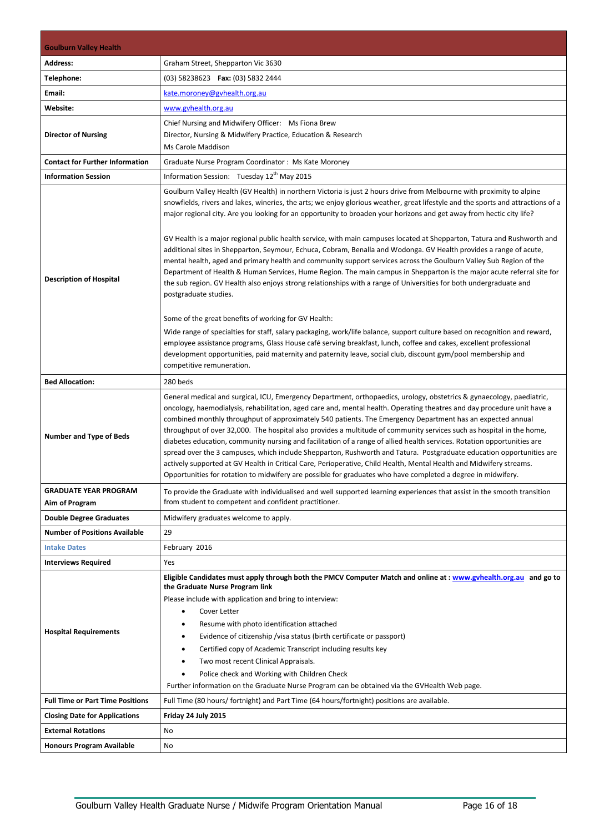<span id="page-15-0"></span>

| <b>Goulburn Valley Health</b>           |                                                                                                                                                                                                                                                                                                                                                                                                                                                                                                                                                                                                                                                                                                                                                                                                                                                                                                                                                                                                                                                                                                                                                                                                                                                                                                                                                                                                                                                                                           |  |
|-----------------------------------------|-------------------------------------------------------------------------------------------------------------------------------------------------------------------------------------------------------------------------------------------------------------------------------------------------------------------------------------------------------------------------------------------------------------------------------------------------------------------------------------------------------------------------------------------------------------------------------------------------------------------------------------------------------------------------------------------------------------------------------------------------------------------------------------------------------------------------------------------------------------------------------------------------------------------------------------------------------------------------------------------------------------------------------------------------------------------------------------------------------------------------------------------------------------------------------------------------------------------------------------------------------------------------------------------------------------------------------------------------------------------------------------------------------------------------------------------------------------------------------------------|--|
| <b>Address:</b>                         | Graham Street, Shepparton Vic 3630                                                                                                                                                                                                                                                                                                                                                                                                                                                                                                                                                                                                                                                                                                                                                                                                                                                                                                                                                                                                                                                                                                                                                                                                                                                                                                                                                                                                                                                        |  |
| Telephone:                              | (03) 58238623  Fax: (03) 5832 2444                                                                                                                                                                                                                                                                                                                                                                                                                                                                                                                                                                                                                                                                                                                                                                                                                                                                                                                                                                                                                                                                                                                                                                                                                                                                                                                                                                                                                                                        |  |
| Email:                                  |                                                                                                                                                                                                                                                                                                                                                                                                                                                                                                                                                                                                                                                                                                                                                                                                                                                                                                                                                                                                                                                                                                                                                                                                                                                                                                                                                                                                                                                                                           |  |
|                                         | kate.moroney@gvhealth.org.au                                                                                                                                                                                                                                                                                                                                                                                                                                                                                                                                                                                                                                                                                                                                                                                                                                                                                                                                                                                                                                                                                                                                                                                                                                                                                                                                                                                                                                                              |  |
| Website:                                | www.gvhealth.org.au                                                                                                                                                                                                                                                                                                                                                                                                                                                                                                                                                                                                                                                                                                                                                                                                                                                                                                                                                                                                                                                                                                                                                                                                                                                                                                                                                                                                                                                                       |  |
| <b>Director of Nursing</b>              | Chief Nursing and Midwifery Officer: Ms Fiona Brew<br>Director, Nursing & Midwifery Practice, Education & Research                                                                                                                                                                                                                                                                                                                                                                                                                                                                                                                                                                                                                                                                                                                                                                                                                                                                                                                                                                                                                                                                                                                                                                                                                                                                                                                                                                        |  |
|                                         | Ms Carole Maddison                                                                                                                                                                                                                                                                                                                                                                                                                                                                                                                                                                                                                                                                                                                                                                                                                                                                                                                                                                                                                                                                                                                                                                                                                                                                                                                                                                                                                                                                        |  |
| <b>Contact for Further Information</b>  | Graduate Nurse Program Coordinator: Ms Kate Moroney                                                                                                                                                                                                                                                                                                                                                                                                                                                                                                                                                                                                                                                                                                                                                                                                                                                                                                                                                                                                                                                                                                                                                                                                                                                                                                                                                                                                                                       |  |
| <b>Information Session</b>              | Information Session: Tuesday 12 <sup>th</sup> May 2015                                                                                                                                                                                                                                                                                                                                                                                                                                                                                                                                                                                                                                                                                                                                                                                                                                                                                                                                                                                                                                                                                                                                                                                                                                                                                                                                                                                                                                    |  |
| <b>Description of Hospital</b>          | Goulburn Valley Health (GV Health) in northern Victoria is just 2 hours drive from Melbourne with proximity to alpine<br>snowfields, rivers and lakes, wineries, the arts; we enjoy glorious weather, great lifestyle and the sports and attractions of a<br>major regional city. Are you looking for an opportunity to broaden your horizons and get away from hectic city life?<br>GV Health is a major regional public health service, with main campuses located at Shepparton, Tatura and Rushworth and<br>additional sites in Shepparton, Seymour, Echuca, Cobram, Benalla and Wodonga. GV Health provides a range of acute,<br>mental health, aged and primary health and community support services across the Goulburn Valley Sub Region of the<br>Department of Health & Human Services, Hume Region. The main campus in Shepparton is the major acute referral site for<br>the sub region. GV Health also enjoys strong relationships with a range of Universities for both undergraduate and<br>postgraduate studies.<br>Some of the great benefits of working for GV Health:<br>Wide range of specialties for staff, salary packaging, work/life balance, support culture based on recognition and reward,<br>employee assistance programs, Glass House café serving breakfast, lunch, coffee and cakes, excellent professional<br>development opportunities, paid maternity and paternity leave, social club, discount gym/pool membership and<br>competitive remuneration. |  |
| <b>Bed Allocation:</b>                  | 280 beds                                                                                                                                                                                                                                                                                                                                                                                                                                                                                                                                                                                                                                                                                                                                                                                                                                                                                                                                                                                                                                                                                                                                                                                                                                                                                                                                                                                                                                                                                  |  |
| <b>Number and Type of Beds</b>          | General medical and surgical, ICU, Emergency Department, orthopaedics, urology, obstetrics & gynaecology, paediatric,<br>oncology, haemodialysis, rehabilitation, aged care and, mental health. Operating theatres and day procedure unit have a<br>combined monthly throughput of approximately 540 patients. The Emergency Department has an expected annual<br>throughput of over 32,000. The hospital also provides a multitude of community services such as hospital in the home,<br>diabetes education, community nursing and facilitation of a range of allied health services. Rotation opportunities are<br>spread over the 3 campuses, which include Shepparton, Rushworth and Tatura. Postgraduate education opportunities are<br>actively supported at GV Health in Critical Care, Perioperative, Child Health, Mental Health and Midwifery streams.<br>Opportunities for rotation to midwifery are possible for graduates who have completed a degree in midwifery.                                                                                                                                                                                                                                                                                                                                                                                                                                                                                                         |  |
| <b>GRADUATE YEAR PROGRAM</b>            | To provide the Graduate with individualised and well supported learning experiences that assist in the smooth transition                                                                                                                                                                                                                                                                                                                                                                                                                                                                                                                                                                                                                                                                                                                                                                                                                                                                                                                                                                                                                                                                                                                                                                                                                                                                                                                                                                  |  |
| Aim of Program                          | from student to competent and confident practitioner.                                                                                                                                                                                                                                                                                                                                                                                                                                                                                                                                                                                                                                                                                                                                                                                                                                                                                                                                                                                                                                                                                                                                                                                                                                                                                                                                                                                                                                     |  |
| <b>Double Degree Graduates</b>          | Midwifery graduates welcome to apply.                                                                                                                                                                                                                                                                                                                                                                                                                                                                                                                                                                                                                                                                                                                                                                                                                                                                                                                                                                                                                                                                                                                                                                                                                                                                                                                                                                                                                                                     |  |
| <b>Number of Positions Available</b>    | 29                                                                                                                                                                                                                                                                                                                                                                                                                                                                                                                                                                                                                                                                                                                                                                                                                                                                                                                                                                                                                                                                                                                                                                                                                                                                                                                                                                                                                                                                                        |  |
| <b>Intake Dates</b>                     | February 2016                                                                                                                                                                                                                                                                                                                                                                                                                                                                                                                                                                                                                                                                                                                                                                                                                                                                                                                                                                                                                                                                                                                                                                                                                                                                                                                                                                                                                                                                             |  |
| <b>Interviews Required</b>              | Yes                                                                                                                                                                                                                                                                                                                                                                                                                                                                                                                                                                                                                                                                                                                                                                                                                                                                                                                                                                                                                                                                                                                                                                                                                                                                                                                                                                                                                                                                                       |  |
| <b>Hospital Requirements</b>            | Eligible Candidates must apply through both the PMCV Computer Match and online at : www.gyhealth.org.au and go to<br>the Graduate Nurse Program link<br>Please include with application and bring to interview:<br>Cover Letter<br>$\bullet$<br>Resume with photo identification attached<br>Evidence of citizenship /visa status (birth certificate or passport)<br>$\bullet$<br>Certified copy of Academic Transcript including results key<br>$\bullet$<br>Two most recent Clinical Appraisals.<br>$\bullet$<br>Police check and Working with Children Check<br>٠<br>Further information on the Graduate Nurse Program can be obtained via the GVHealth Web page.                                                                                                                                                                                                                                                                                                                                                                                                                                                                                                                                                                                                                                                                                                                                                                                                                      |  |
| <b>Full Time or Part Time Positions</b> | Full Time (80 hours/ fortnight) and Part Time (64 hours/fortnight) positions are available.                                                                                                                                                                                                                                                                                                                                                                                                                                                                                                                                                                                                                                                                                                                                                                                                                                                                                                                                                                                                                                                                                                                                                                                                                                                                                                                                                                                               |  |
| <b>Closing Date for Applications</b>    | Friday 24 July 2015                                                                                                                                                                                                                                                                                                                                                                                                                                                                                                                                                                                                                                                                                                                                                                                                                                                                                                                                                                                                                                                                                                                                                                                                                                                                                                                                                                                                                                                                       |  |
| <b>External Rotations</b>               | No                                                                                                                                                                                                                                                                                                                                                                                                                                                                                                                                                                                                                                                                                                                                                                                                                                                                                                                                                                                                                                                                                                                                                                                                                                                                                                                                                                                                                                                                                        |  |
| <b>Honours Program Available</b>        | No                                                                                                                                                                                                                                                                                                                                                                                                                                                                                                                                                                                                                                                                                                                                                                                                                                                                                                                                                                                                                                                                                                                                                                                                                                                                                                                                                                                                                                                                                        |  |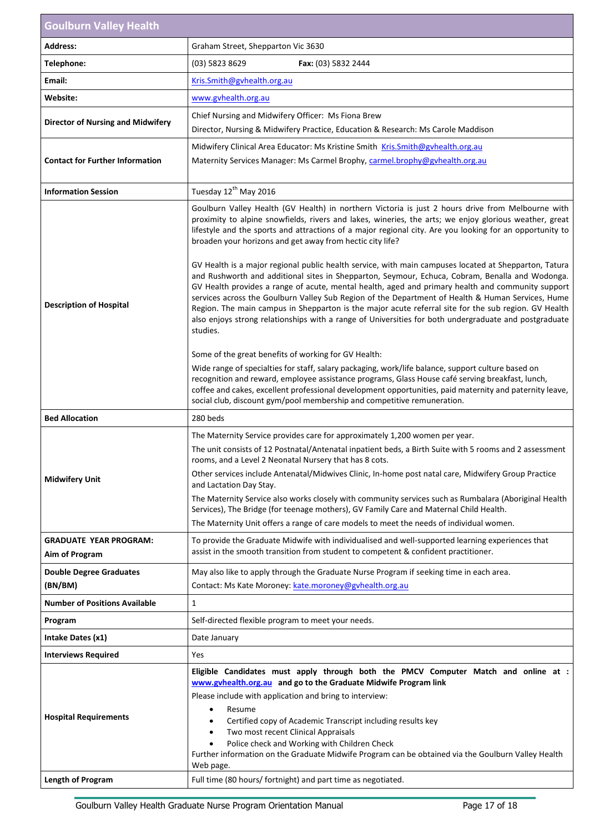| <b>Goulburn Valley Health</b>                   |                                                                                                                                                                                                                                                                                                                                                                                                                                                                                                                                                                                                                                                                                                                                                                                                                                                                                                                                                                                                                                                                                                                                                                                                                                                                                                                                                                                                                                                                                                 |
|-------------------------------------------------|-------------------------------------------------------------------------------------------------------------------------------------------------------------------------------------------------------------------------------------------------------------------------------------------------------------------------------------------------------------------------------------------------------------------------------------------------------------------------------------------------------------------------------------------------------------------------------------------------------------------------------------------------------------------------------------------------------------------------------------------------------------------------------------------------------------------------------------------------------------------------------------------------------------------------------------------------------------------------------------------------------------------------------------------------------------------------------------------------------------------------------------------------------------------------------------------------------------------------------------------------------------------------------------------------------------------------------------------------------------------------------------------------------------------------------------------------------------------------------------------------|
| <b>Address:</b>                                 | Graham Street, Shepparton Vic 3630                                                                                                                                                                                                                                                                                                                                                                                                                                                                                                                                                                                                                                                                                                                                                                                                                                                                                                                                                                                                                                                                                                                                                                                                                                                                                                                                                                                                                                                              |
| Telephone:                                      | (03) 5823 8629<br>Fax: (03) 5832 2444                                                                                                                                                                                                                                                                                                                                                                                                                                                                                                                                                                                                                                                                                                                                                                                                                                                                                                                                                                                                                                                                                                                                                                                                                                                                                                                                                                                                                                                           |
| Email:                                          | Kris.Smith@gvhealth.org.au                                                                                                                                                                                                                                                                                                                                                                                                                                                                                                                                                                                                                                                                                                                                                                                                                                                                                                                                                                                                                                                                                                                                                                                                                                                                                                                                                                                                                                                                      |
| Website:                                        | www.gvhealth.org.au                                                                                                                                                                                                                                                                                                                                                                                                                                                                                                                                                                                                                                                                                                                                                                                                                                                                                                                                                                                                                                                                                                                                                                                                                                                                                                                                                                                                                                                                             |
| <b>Director of Nursing and Midwifery</b>        | Chief Nursing and Midwifery Officer: Ms Fiona Brew<br>Director, Nursing & Midwifery Practice, Education & Research: Ms Carole Maddison                                                                                                                                                                                                                                                                                                                                                                                                                                                                                                                                                                                                                                                                                                                                                                                                                                                                                                                                                                                                                                                                                                                                                                                                                                                                                                                                                          |
| <b>Contact for Further Information</b>          | Midwifery Clinical Area Educator: Ms Kristine Smith Kris. Smith@gyhealth.org.au<br>Maternity Services Manager: Ms Carmel Brophy, carmel.brophy@gvhealth.org.au                                                                                                                                                                                                                                                                                                                                                                                                                                                                                                                                                                                                                                                                                                                                                                                                                                                                                                                                                                                                                                                                                                                                                                                                                                                                                                                                  |
| <b>Information Session</b>                      | Tuesday 12 <sup>th</sup> May 2016                                                                                                                                                                                                                                                                                                                                                                                                                                                                                                                                                                                                                                                                                                                                                                                                                                                                                                                                                                                                                                                                                                                                                                                                                                                                                                                                                                                                                                                               |
| <b>Description of Hospital</b>                  | Goulburn Valley Health (GV Health) in northern Victoria is just 2 hours drive from Melbourne with<br>proximity to alpine snowfields, rivers and lakes, wineries, the arts; we enjoy glorious weather, great<br>lifestyle and the sports and attractions of a major regional city. Are you looking for an opportunity to<br>broaden your horizons and get away from hectic city life?<br>GV Health is a major regional public health service, with main campuses located at Shepparton, Tatura<br>and Rushworth and additional sites in Shepparton, Seymour, Echuca, Cobram, Benalla and Wodonga.<br>GV Health provides a range of acute, mental health, aged and primary health and community support<br>services across the Goulburn Valley Sub Region of the Department of Health & Human Services, Hume<br>Region. The main campus in Shepparton is the major acute referral site for the sub region. GV Health<br>also enjoys strong relationships with a range of Universities for both undergraduate and postgraduate<br>studies.<br>Some of the great benefits of working for GV Health:<br>Wide range of specialties for staff, salary packaging, work/life balance, support culture based on<br>recognition and reward, employee assistance programs, Glass House café serving breakfast, lunch,<br>coffee and cakes, excellent professional development opportunities, paid maternity and paternity leave,<br>social club, discount gym/pool membership and competitive remuneration. |
| <b>Bed Allocation</b>                           | 280 beds                                                                                                                                                                                                                                                                                                                                                                                                                                                                                                                                                                                                                                                                                                                                                                                                                                                                                                                                                                                                                                                                                                                                                                                                                                                                                                                                                                                                                                                                                        |
| <b>Midwifery Unit</b>                           | The Maternity Service provides care for approximately 1,200 women per year.<br>The unit consists of 12 Postnatal/Antenatal inpatient beds, a Birth Suite with 5 rooms and 2 assessment<br>rooms, and a Level 2 Neonatal Nursery that has 8 cots.<br>Other services include Antenatal/Midwives Clinic, In-home post natal care, Midwifery Group Practice<br>and Lactation Day Stay.<br>The Maternity Service also works closely with community services such as Rumbalara (Aboriginal Health<br>Services), The Bridge (for teenage mothers), GV Family Care and Maternal Child Health.<br>The Maternity Unit offers a range of care models to meet the needs of individual women.                                                                                                                                                                                                                                                                                                                                                                                                                                                                                                                                                                                                                                                                                                                                                                                                                |
| <b>GRADUATE YEAR PROGRAM:</b><br>Aim of Program | To provide the Graduate Midwife with individualised and well-supported learning experiences that<br>assist in the smooth transition from student to competent & confident practitioner.                                                                                                                                                                                                                                                                                                                                                                                                                                                                                                                                                                                                                                                                                                                                                                                                                                                                                                                                                                                                                                                                                                                                                                                                                                                                                                         |
| <b>Double Degree Graduates</b><br>(BN/BM)       | May also like to apply through the Graduate Nurse Program if seeking time in each area.<br>Contact: Ms Kate Moroney: kate.moroney@gvhealth.org.au                                                                                                                                                                                                                                                                                                                                                                                                                                                                                                                                                                                                                                                                                                                                                                                                                                                                                                                                                                                                                                                                                                                                                                                                                                                                                                                                               |
| <b>Number of Positions Available</b>            | $\mathbf{1}$                                                                                                                                                                                                                                                                                                                                                                                                                                                                                                                                                                                                                                                                                                                                                                                                                                                                                                                                                                                                                                                                                                                                                                                                                                                                                                                                                                                                                                                                                    |
| Program                                         | Self-directed flexible program to meet your needs.                                                                                                                                                                                                                                                                                                                                                                                                                                                                                                                                                                                                                                                                                                                                                                                                                                                                                                                                                                                                                                                                                                                                                                                                                                                                                                                                                                                                                                              |
| Intake Dates (x1)                               | Date January                                                                                                                                                                                                                                                                                                                                                                                                                                                                                                                                                                                                                                                                                                                                                                                                                                                                                                                                                                                                                                                                                                                                                                                                                                                                                                                                                                                                                                                                                    |
| <b>Interviews Required</b>                      | Yes                                                                                                                                                                                                                                                                                                                                                                                                                                                                                                                                                                                                                                                                                                                                                                                                                                                                                                                                                                                                                                                                                                                                                                                                                                                                                                                                                                                                                                                                                             |
| <b>Hospital Requirements</b>                    | Eligible Candidates must apply through both the PMCV Computer Match and online at :<br>www.gvhealth.org.au and go to the Graduate Midwife Program link<br>Please include with application and bring to interview:<br>Resume<br>$\bullet$<br>Certified copy of Academic Transcript including results key<br>Two most recent Clinical Appraisals<br>Police check and Working with Children Check<br>Further information on the Graduate Midwife Program can be obtained via the Goulburn Valley Health<br>Web page.                                                                                                                                                                                                                                                                                                                                                                                                                                                                                                                                                                                                                                                                                                                                                                                                                                                                                                                                                                               |
| <b>Length of Program</b>                        | Full time (80 hours/ fortnight) and part time as negotiated.                                                                                                                                                                                                                                                                                                                                                                                                                                                                                                                                                                                                                                                                                                                                                                                                                                                                                                                                                                                                                                                                                                                                                                                                                                                                                                                                                                                                                                    |